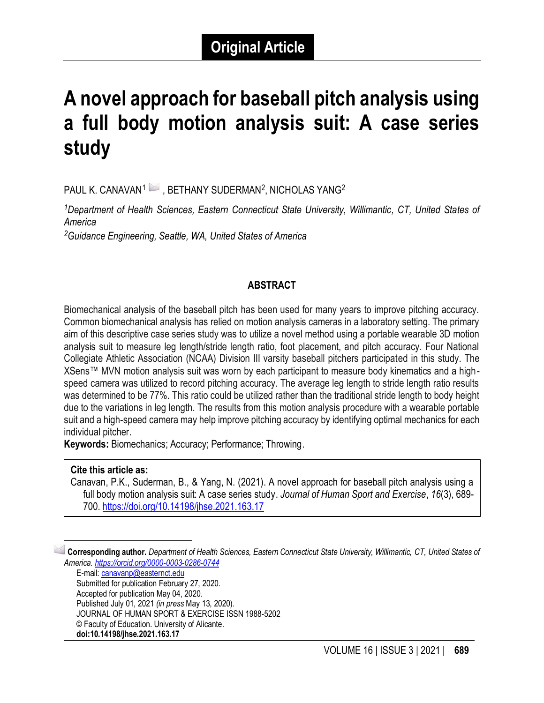# **A novel approach for baseball pitch analysis using a full body motion analysis suit: A case series study**

PAUL K. CANAVAN<sup>1</sup> , BETHANY SUDERMAN<sup>2</sup> , NICHOLAS YANG<sup>2</sup>

*<sup>1</sup>Department of Health Sciences, Eastern Connecticut State University, Willimantic, CT, United States of America*

*<sup>2</sup>Guidance Engineering, Seattle, WA, United States of America*

## **ABSTRACT**

Biomechanical analysis of the baseball pitch has been used for many years to improve pitching accuracy. Common biomechanical analysis has relied on motion analysis cameras in a laboratory setting. The primary aim of this descriptive case series study was to utilize a novel method using a portable wearable 3D motion analysis suit to measure leg length/stride length ratio, foot placement, and pitch accuracy. Four National Collegiate Athletic Association (NCAA) Division III varsity baseball pitchers participated in this study. The XSens™ MVN motion analysis suit was worn by each participant to measure body kinematics and a highspeed camera was utilized to record pitching accuracy. The average leg length to stride length ratio results was determined to be 77%. This ratio could be utilized rather than the traditional stride length to body height due to the variations in leg length. The results from this motion analysis procedure with a wearable portable suit and a high-speed camera may help improve pitching accuracy by identifying optimal mechanics for each individual pitcher.

**Keywords:** Biomechanics; Accuracy; Performance; Throwing.

#### **Cite this article as:**

Canavan, P.K., Suderman, B., & Yang, N. (2021). A novel approach for baseball pitch analysis using a full body motion analysis suit: A case series study. *Journal of Human Sport and Exercise*, *16*(3), 689- 700.<https://doi.org/10.14198/jhse.2021.163.17>

1 **Corresponding author.** *Department of Health Sciences, Eastern Connecticut State University, Willimantic, CT, United States of America. <https://orcid.org/0000-0003-0286-0744>*

E-mail: [canavanp@easternct.edu](mailto:canavanp@easternct.edu) Submitted for publication February 27, 2020. Accepted for publication May 04, 2020. Published July 01, 2021 *(in press* May 13, 2020). JOURNAL OF HUMAN SPORT & EXERCISE ISSN 1988-5202 © Faculty of Education. University of Alicante. **doi:10.14198/jhse.2021.163.17**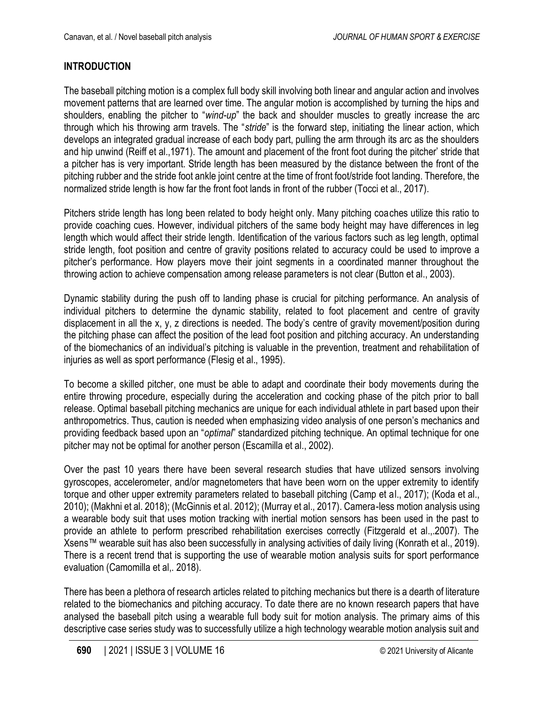# **INTRODUCTION**

The baseball pitching motion is a complex full body skill involving both linear and angular action and involves movement patterns that are learned over time. The angular motion is accomplished by turning the hips and shoulders, enabling the pitcher to "*wind-up*" the back and shoulder muscles to greatly increase the arc through which his throwing arm travels. The "*stride*" is the forward step, initiating the linear action, which develops an integrated gradual increase of each body part, pulling the arm through its arc as the shoulders and hip unwind (Reiff et al.,1971). The amount and placement of the front foot during the pitcher' stride that a pitcher has is very important. Stride length has been measured by the distance between the front of the pitching rubber and the stride foot ankle joint centre at the time of front foot/stride foot landing. Therefore, the normalized stride length is how far the front foot lands in front of the rubber (Tocci et al., 2017).

Pitchers stride length has long been related to body height only. Many pitching coaches utilize this ratio to provide coaching cues. However, individual pitchers of the same body height may have differences in leg length which would affect their stride length. Identification of the various factors such as leg length, optimal stride length, foot position and centre of gravity positions related to accuracy could be used to improve a pitcher's performance. How players move their joint segments in a coordinated manner throughout the throwing action to achieve compensation among release parameters is not clear (Button et al., 2003).

Dynamic stability during the push off to landing phase is crucial for pitching performance. An analysis of individual pitchers to determine the dynamic stability, related to foot placement and centre of gravity displacement in all the x, y, z directions is needed. The body's centre of gravity movement/position during the pitching phase can affect the position of the lead foot position and pitching accuracy. An understanding of the biomechanics of an individual's pitching is valuable in the prevention, treatment and rehabilitation of injuries as well as sport performance (Flesig et al., 1995).

To become a skilled pitcher, one must be able to adapt and coordinate their body movements during the entire throwing procedure, especially during the acceleration and cocking phase of the pitch prior to ball release. Optimal baseball pitching mechanics are unique for each individual athlete in part based upon their anthropometrics. Thus, caution is needed when emphasizing video analysis of one person's mechanics and providing feedback based upon an "*optimal*" standardized pitching technique. An optimal technique for one pitcher may not be optimal for another person (Escamilla et al., 2002).

Over the past 10 years there have been several research studies that have utilized sensors involving gyroscopes, accelerometer, and/or magnetometers that have been worn on the upper extremity to identify torque and other upper extremity parameters related to baseball pitching (Camp et al., 2017); (Koda et al., 2010); (Makhni et al. 2018); (McGinnis et al. 2012); (Murray et al., 2017). Camera-less motion analysis using a wearable body suit that uses motion tracking with inertial motion sensors has been used in the past to provide an athlete to perform prescribed rehabilitation exercises correctly (Fitzgerald et al.,.2007). The Xsens™ wearable suit has also been successfully in analysing activities of daily living (Konrath et al., 2019). There is a recent trend that is supporting the use of wearable motion analysis suits for sport performance evaluation (Camomilla et al,. 2018).

There has been a plethora of research articles related to pitching mechanics but there is a dearth of literature related to the biomechanics and pitching accuracy. To date there are no known research papers that have analysed the baseball pitch using a wearable full body suit for motion analysis. The primary aims of this descriptive case series study was to successfully utilize a high technology wearable motion analysis suit and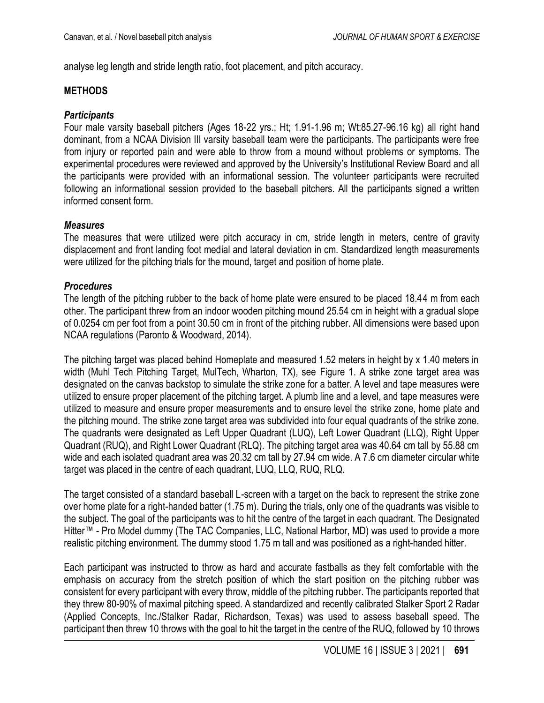analyse leg length and stride length ratio, foot placement, and pitch accuracy.

#### **METHODS**

#### *Participants*

Four male varsity baseball pitchers (Ages 18-22 yrs.; Ht; 1.91-1.96 m; Wt:85.27-96.16 kg) all right hand dominant, from a NCAA Division III varsity baseball team were the participants. The participants were free from injury or reported pain and were able to throw from a mound without problems or symptoms. The experimental procedures were reviewed and approved by the University's Institutional Review Board and all the participants were provided with an informational session. The volunteer participants were recruited following an informational session provided to the baseball pitchers. All the participants signed a written informed consent form.

## *Measures*

The measures that were utilized were pitch accuracy in cm, stride length in meters, centre of gravity displacement and front landing foot medial and lateral deviation in cm. Standardized length measurements were utilized for the pitching trials for the mound, target and position of home plate.

## *Procedures*

The length of the pitching rubber to the back of home plate were ensured to be placed 18.44 m from each other. The participant threw from an indoor wooden pitching mound 25.54 cm in height with a gradual slope of 0.0254 cm per foot from a point 30.50 cm in front of the pitching rubber. All dimensions were based upon NCAA regulations (Paronto & Woodward, 2014).

The pitching target was placed behind Homeplate and measured 1.52 meters in height by x 1.40 meters in width (Muhl Tech Pitching Target, MulTech, Wharton, TX), see Figure 1. A strike zone target area was designated on the canvas backstop to simulate the strike zone for a batter. A level and tape measures were utilized to ensure proper placement of the pitching target. A plumb line and a level, and tape measures were utilized to measure and ensure proper measurements and to ensure level the strike zone, home plate and the pitching mound. The strike zone target area was subdivided into four equal quadrants of the strike zone. The quadrants were designated as Left Upper Quadrant (LUQ), Left Lower Quadrant (LLQ), Right Upper Quadrant (RUQ), and Right Lower Quadrant (RLQ). The pitching target area was 40.64 cm tall by 55.88 cm wide and each isolated quadrant area was 20.32 cm tall by 27.94 cm wide. A 7.6 cm diameter circular white target was placed in the centre of each quadrant, LUQ, LLQ, RUQ, RLQ.

The target consisted of a standard baseball L-screen with a target on the back to represent the strike zone over home plate for a right-handed batter (1.75 m). During the trials, only one of the quadrants was visible to the subject. The goal of the participants was to hit the centre of the target in each quadrant. The Designated Hitter™ - Pro Model dummy (The TAC Companies, LLC, National Harbor, MD) was used to provide a more realistic pitching environment. The dummy stood 1.75 m tall and was positioned as a right-handed hitter.

Each participant was instructed to throw as hard and accurate fastballs as they felt comfortable with the emphasis on accuracy from the stretch position of which the start position on the pitching rubber was consistent for every participant with every throw, middle of the pitching rubber. The participants reported that they threw 80-90% of maximal pitching speed. A standardized and recently calibrated Stalker Sport 2 Radar (Applied Concepts, Inc./Stalker Radar, Richardson, Texas) was used to assess baseball speed. The participant then threw 10 throws with the goal to hit the target in the centre of the RUQ, followed by 10 throws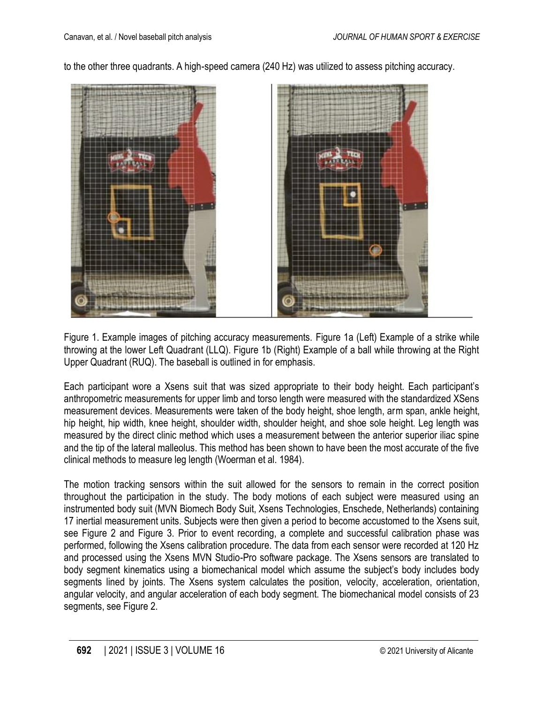to the other three quadrants. A high-speed camera (240 Hz) was utilized to assess pitching accuracy.



Figure 1. Example images of pitching accuracy measurements. Figure 1a (Left) Example of a strike while throwing at the lower Left Quadrant (LLQ). Figure 1b (Right) Example of a ball while throwing at the Right Upper Quadrant (RUQ). The baseball is outlined in for emphasis.

Each participant wore a Xsens suit that was sized appropriate to their body height. Each participant's anthropometric measurements for upper limb and torso length were measured with the standardized XSens measurement devices. Measurements were taken of the body height, shoe length, arm span, ankle height, hip height, hip width, knee height, shoulder width, shoulder height, and shoe sole height. Leg length was measured by the direct clinic method which uses a measurement between the anterior superior iliac spine and the tip of the lateral malleolus. This method has been shown to have been the most accurate of the five clinical methods to measure leg length (Woerman et al. 1984).

The motion tracking sensors within the suit allowed for the sensors to remain in the correct position throughout the participation in the study. The body motions of each subject were measured using an instrumented body suit (MVN Biomech Body Suit, Xsens Technologies, Enschede, Netherlands) containing 17 inertial measurement units. Subjects were then given a period to become accustomed to the Xsens suit, see Figure 2 and Figure 3. Prior to event recording, a complete and successful calibration phase was performed, following the Xsens calibration procedure. The data from each sensor were recorded at 120 Hz and processed using the Xsens MVN Studio-Pro software package. The Xsens sensors are translated to body segment kinematics using a biomechanical model which assume the subject's body includes body segments lined by joints. The Xsens system calculates the position, velocity, acceleration, orientation, angular velocity, and angular acceleration of each body segment. The biomechanical model consists of 23 segments, see Figure 2.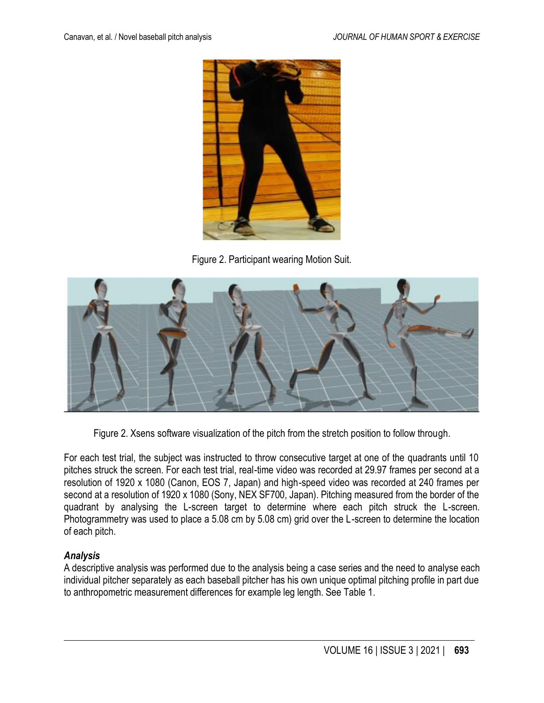

Figure 2. Participant wearing Motion Suit.



Figure 2. Xsens software visualization of the pitch from the stretch position to follow through.

For each test trial, the subject was instructed to throw consecutive target at one of the quadrants until 10 pitches struck the screen. For each test trial, real-time video was recorded at 29.97 frames per second at a resolution of 1920 x 1080 (Canon, EOS 7, Japan) and high-speed video was recorded at 240 frames per second at a resolution of 1920 x 1080 (Sony, NEX SF700, Japan). Pitching measured from the border of the quadrant by analysing the L-screen target to determine where each pitch struck the L-screen. Photogrammetry was used to place a 5.08 cm by 5.08 cm) grid over the L-screen to determine the location of each pitch.

# *Analysis*

A descriptive analysis was performed due to the analysis being a case series and the need to analyse each individual pitcher separately as each baseball pitcher has his own unique optimal pitching profile in part due to anthropometric measurement differences for example leg length. See Table 1.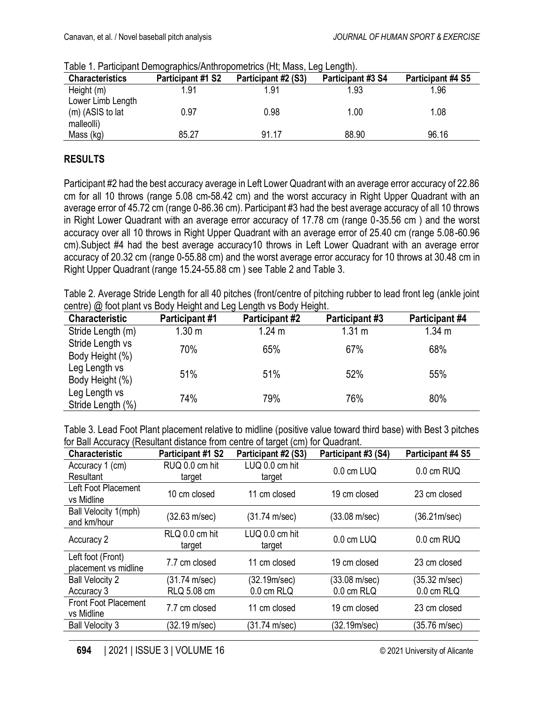| <b>Characteristics</b> | <b>Participant #1 S2</b> | Participant #2 (S3) | Participant #3 S4 | Participant #4 S5 |
|------------------------|--------------------------|---------------------|-------------------|-------------------|
| Height (m)             | 1.91                     | 1.91                | 1.93              | 1.96              |
| Lower Limb Length      |                          |                     |                   |                   |
| (m) (ASIS to lat       | 0.97                     | 0.98                | 1.00              | 1.08              |
| malleolli)             |                          |                     |                   |                   |
| Mass (kg)              | 85.27                    | 91.17               | 88.90             | 96.16             |

Table 1. Participant Demographics/Anthropometrics (Ht; Mass, Leg Length).

# **RESULTS**

Participant #2 had the best accuracy average in Left Lower Quadrant with an average error accuracy of 22.86 cm for all 10 throws (range 5.08 cm-58.42 cm) and the worst accuracy in Right Upper Quadrant with an average error of 45.72 cm (range 0-86.36 cm). Participant #3 had the best average accuracy of all 10 throws in Right Lower Quadrant with an average error accuracy of 17.78 cm (range 0-35.56 cm ) and the worst accuracy over all 10 throws in Right Upper Quadrant with an average error of 25.40 cm (range 5.08-60.96 cm).Subject #4 had the best average accuracy10 throws in Left Lower Quadrant with an average error accuracy of 20.32 cm (range 0-55.88 cm) and the worst average error accuracy for 10 throws at 30.48 cm in Right Upper Quadrant (range 15.24-55.88 cm ) see Table 2 and Table 3.

Table 2. Average Stride Length for all 40 pitches (front/centre of pitching rubber to lead front leg (ankle joint centre) @ foot plant vs Body Height and Leg Length vs Body Height.

| <b>Characteristic</b>               | <b>Participant #1</b> | <b>Participant #2</b> | <b>Participant #3</b> | Participant #4 |
|-------------------------------------|-----------------------|-----------------------|-----------------------|----------------|
| Stride Length (m)                   | 1.30 <sub>m</sub>     | 1.24 m                | 1.31 m                | 1.34 m         |
| Stride Length vs<br>Body Height (%) | 70%                   | 65%                   | 67%                   | 68%            |
| Leg Length vs<br>Body Height (%)    | 51%                   | 51%                   | 52%                   | 55%            |
| Leg Length vs<br>Stride Length (%)  | 74%                   | 79%                   | 76%                   | 80%            |

Table 3. Lead Foot Plant placement relative to midline (positive value toward third base) with Best 3 pitches for Ball Accuracy (Resultant distance from centre of target (cm) for Quadrant.

| <b>Characteristic</b>                     | Participant #1 S2        | Participant #2 (S3)      | Participant #3 (S4)     | Participant #4 S5    |
|-------------------------------------------|--------------------------|--------------------------|-------------------------|----------------------|
| Accuracy 1 (cm)                           | RUQ 0.0 cm hit           | LUQ 0.0 cm hit           | 0.0 cm LUQ              | 0.0 cm RUQ           |
| Resultant                                 | target                   | target                   |                         |                      |
| Left Foot Placement<br>vs Midline         | 10 cm closed             | 11 cm closed             | 19 cm closed            | 23 cm closed         |
| Ball Velocity 1(mph)<br>and km/hour       | (32.63 m/sec)            | $(31.74 \text{ m/sec})$  | $(33.08 \text{ m/sec})$ | (36.21m/sec)         |
| Accuracy 2                                | RLQ 0.0 cm hit<br>target | LUQ 0.0 cm hit<br>target | 0.0 cm LUQ              | 0.0 cm RUQ           |
| Left foot (Front)<br>placement vs midline | 7.7 cm closed            | 11 cm closed             | 19 cm closed            | 23 cm closed         |
| <b>Ball Velocity 2</b>                    | (31.74 m/sec)            | (32.19m/sec)             | (33.08 m/sec)           | (35.32 m/sec)        |
| Accuracy 3                                | RLQ 5.08 cm              | $0.0 \text{ cm}$ RLQ     | 0.0 cm RLQ              | $0.0 \text{ cm}$ RLQ |
| <b>Front Foot Placement</b><br>vs Midline | 7.7 cm closed            | 11 cm closed             | 19 cm closed            | 23 cm closed         |
| <b>Ball Velocity 3</b>                    | (32.19 m/sec)            | (31.74 m/sec)            | (32.19m/sec)            | (35.76 m/sec)        |
|                                           |                          |                          |                         |                      |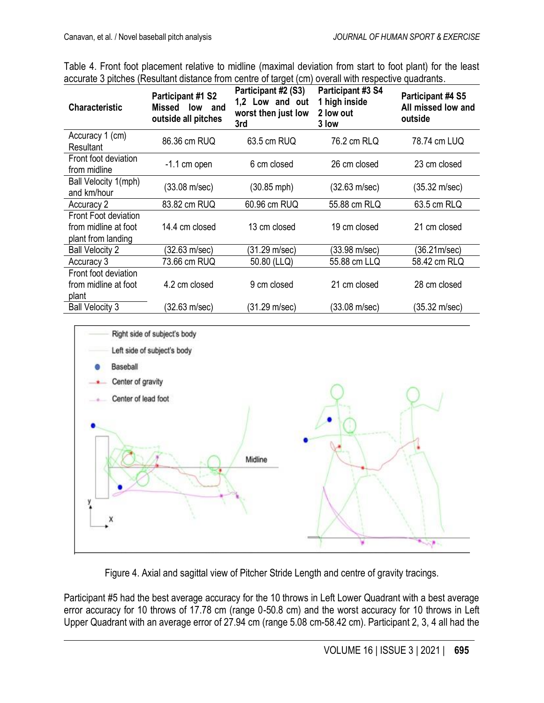| <b>Characteristic</b>                                              | <b>Participant #1 S2</b><br>Missed<br>low<br>and<br>outside all pitches | Participant #2 (S3)<br>1.2 Low and out<br>worst then just low<br>3rd | Participant #3 S4<br>1 high inside<br>2 low out<br>3 low | Participant #4 S5<br>All missed low and<br>outside |
|--------------------------------------------------------------------|-------------------------------------------------------------------------|----------------------------------------------------------------------|----------------------------------------------------------|----------------------------------------------------|
| Accuracy 1 (cm)<br>Resultant                                       | 86.36 cm RUQ                                                            | 63.5 cm RUQ                                                          | 76.2 cm RLQ                                              | 78.74 cm LUQ                                       |
| Front foot deviation<br>from midline                               | $-1.1$ cm open                                                          | 6 cm closed                                                          | 26 cm closed                                             | 23 cm closed                                       |
| Ball Velocity 1(mph)<br>and km/hour                                | $(33.08 \text{ m/sec})$                                                 | $(30.85 \text{ mph})$                                                | (32.63 m/sec)                                            | $(35.32 \text{ m/sec})$                            |
| Accuracy 2                                                         | 83.82 cm RUQ                                                            | 60.96 cm RUQ                                                         | 55.88 cm RLQ                                             | 63.5 cm RLQ                                        |
| Front Foot deviation<br>from midline at foot<br>plant from landing | 14.4 cm closed                                                          | 13 cm closed                                                         | 19 cm closed                                             | 21 cm closed                                       |
| <b>Ball Velocity 2</b>                                             | 32.63 m/sec)                                                            | (31.29 m/sec)                                                        | (33.98 m/sec)                                            | (36.21m/sec)                                       |
| Accuracy 3                                                         | 73.66 cm RUQ                                                            | 50.80 (LLQ)                                                          | 55.88 cm LLQ                                             | 58.42 cm RLQ                                       |
| Front foot deviation<br>from midline at foot<br>plant              | 4.2 cm closed                                                           | 9 cm closed                                                          | 21 cm closed                                             | 28 cm closed                                       |
| <b>Ball Velocity 3</b>                                             | (32.63 m/sec)                                                           | (31.29 m/sec)                                                        | (33.08 m/sec)                                            | (35.32 m/sec)                                      |

Table 4. Front foot placement relative to midline (maximal deviation from start to foot plant) for the least accurate 3 pitches (Resultant distance from centre of target (cm) overall with respective quadrants.



Figure 4. Axial and sagittal view of Pitcher Stride Length and centre of gravity tracings.

Participant #5 had the best average accuracy for the 10 throws in Left Lower Quadrant with a best average error accuracy for 10 throws of 17.78 cm (range 0-50.8 cm) and the worst accuracy for 10 throws in Left Upper Quadrant with an average error of 27.94 cm (range 5.08 cm-58.42 cm). Participant 2, 3, 4 all had the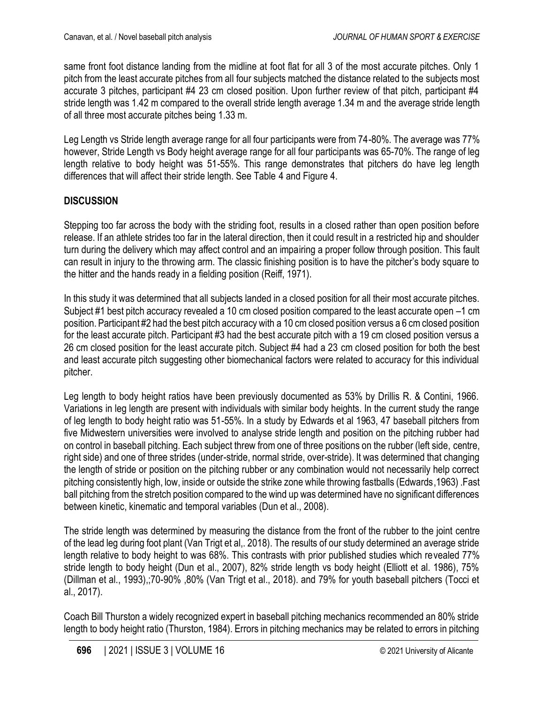same front foot distance landing from the midline at foot flat for all 3 of the most accurate pitches. Only 1 pitch from the least accurate pitches from all four subjects matched the distance related to the subjects most accurate 3 pitches, participant #4 23 cm closed position. Upon further review of that pitch, participant #4 stride length was 1.42 m compared to the overall stride length average 1.34 m and the average stride length of all three most accurate pitches being 1.33 m.

Leg Length vs Stride length average range for all four participants were from 74-80%. The average was 77% however, Stride Length vs Body height average range for all four participants was 65-70%. The range of leg length relative to body height was 51-55%. This range demonstrates that pitchers do have leg length differences that will affect their stride length. See Table 4 and Figure 4.

# **DISCUSSION**

Stepping too far across the body with the striding foot, results in a closed rather than open position before release. If an athlete strides too far in the lateral direction, then it could result in a restricted hip and shoulder turn during the delivery which may affect control and an impairing a proper follow through position. This fault can result in injury to the throwing arm. The classic finishing position is to have the pitcher's body square to the hitter and the hands ready in a fielding position (Reiff, 1971).

In this study it was determined that all subjects landed in a closed position for all their most accurate pitches. Subject #1 best pitch accuracy revealed a 10 cm closed position compared to the least accurate open –1 cm position. Participant #2 had the best pitch accuracy with a 10 cm closed position versus a 6 cm closed position for the least accurate pitch. Participant #3 had the best accurate pitch with a 19 cm closed position versus a 26 cm closed position for the least accurate pitch. Subject #4 had a 23 cm closed position for both the best and least accurate pitch suggesting other biomechanical factors were related to accuracy for this individual pitcher.

Leg length to body height ratios have been previously documented as 53% by Drillis R. & Contini, 1966. Variations in leg length are present with individuals with similar body heights. In the current study the range of leg length to body height ratio was 51-55%. In a study by Edwards et al 1963, 47 baseball pitchers from five Midwestern universities were involved to analyse stride length and position on the pitching rubber had on control in baseball pitching. Each subject threw from one of three positions on the rubber (left side, centre, right side) and one of three strides (under-stride, normal stride, over-stride). It was determined that changing the length of stride or position on the pitching rubber or any combination would not necessarily help correct pitching consistently high, low, inside or outside the strike zone while throwing fastballs (Edwards,1963) .Fast ball pitching from the stretch position compared to the wind up was determined have no significant differences between kinetic, kinematic and temporal variables (Dun et al., 2008).

The stride length was determined by measuring the distance from the front of the rubber to the joint centre of the lead leg during foot plant (Van Trigt et al,. 2018). The results of our study determined an average stride length relative to body height to was 68%. This contrasts with prior published studies which revealed 77% stride length to body height (Dun et al., 2007), 82% stride length vs body height (Elliott et al. 1986), 75% (Dillman et al., 1993),;70-90% ,80% (Van Trigt et al., 2018). and 79% for youth baseball pitchers (Tocci et al., 2017).

Coach Bill Thurston a widely recognized expert in baseball pitching mechanics recommended an 80% stride length to body height ratio (Thurston, 1984). Errors in pitching mechanics may be related to errors in pitching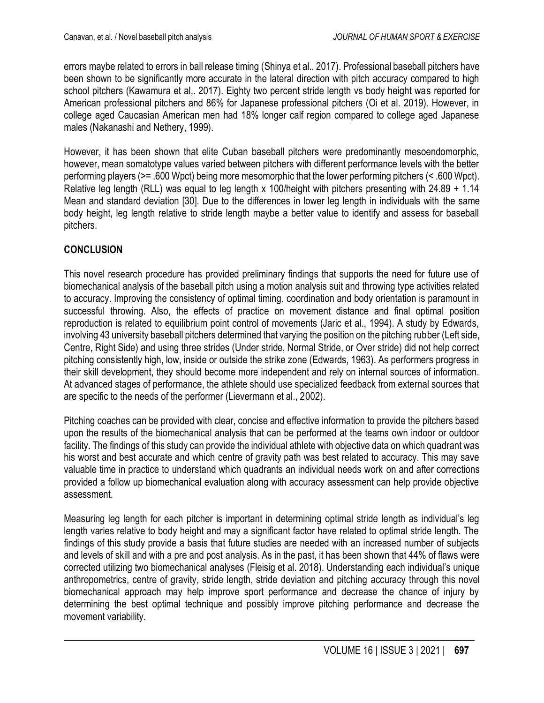errors maybe related to errors in ball release timing (Shinya et al., 2017). Professional baseball pitchers have been shown to be significantly more accurate in the lateral direction with pitch accuracy compared to high school pitchers (Kawamura et al,. 2017). Eighty two percent stride length vs body height was reported for American professional pitchers and 86% for Japanese professional pitchers (Oi et al. 2019). However, in college aged Caucasian American men had 18% longer calf region compared to college aged Japanese males (Nakanashi and Nethery, 1999).

However, it has been shown that elite Cuban baseball pitchers were predominantly mesoendomorphic, however, mean somatotype values varied between pitchers with different performance levels with the better performing players (>= .600 Wpct) being more mesomorphic that the lower performing pitchers (< .600 Wpct). Relative leg length (RLL) was equal to leg length x 100/height with pitchers presenting with 24.89 + 1.14 Mean and standard deviation [30]. Due to the differences in lower leg length in individuals with the same body height, leg length relative to stride length maybe a better value to identify and assess for baseball pitchers.

# **CONCLUSION**

This novel research procedure has provided preliminary findings that supports the need for future use of biomechanical analysis of the baseball pitch using a motion analysis suit and throwing type activities related to accuracy. Improving the consistency of optimal timing, coordination and body orientation is paramount in successful throwing. Also, the effects of practice on movement distance and final optimal position reproduction is related to equilibrium point control of movements (Jaric et al., 1994). A study by Edwards, involving 43 university baseball pitchers determined that varying the position on the pitching rubber (Left side, Centre, Right Side) and using three strides (Under stride, Normal Stride, or Over stride) did not help correct pitching consistently high, low, inside or outside the strike zone (Edwards, 1963). As performers progress in their skill development, they should become more independent and rely on internal sources of information. At advanced stages of performance, the athlete should use specialized feedback from external sources that are specific to the needs of the performer (Lievermann et al., 2002).

Pitching coaches can be provided with clear, concise and effective information to provide the pitchers based upon the results of the biomechanical analysis that can be performed at the teams own indoor or outdoor facility. The findings of this study can provide the individual athlete with objective data on which quadrant was his worst and best accurate and which centre of gravity path was best related to accuracy. This may save valuable time in practice to understand which quadrants an individual needs work on and after corrections provided a follow up biomechanical evaluation along with accuracy assessment can help provide objective assessment.

Measuring leg length for each pitcher is important in determining optimal stride length as individual's leg length varies relative to body height and may a significant factor have related to optimal stride length. The findings of this study provide a basis that future studies are needed with an increased number of subjects and levels of skill and with a pre and post analysis. As in the past, it has been shown that 44% of flaws were corrected utilizing two biomechanical analyses (Fleisig et al. 2018). Understanding each individual's unique anthropometrics, centre of gravity, stride length, stride deviation and pitching accuracy through this novel biomechanical approach may help improve sport performance and decrease the chance of injury by determining the best optimal technique and possibly improve pitching performance and decrease the movement variability.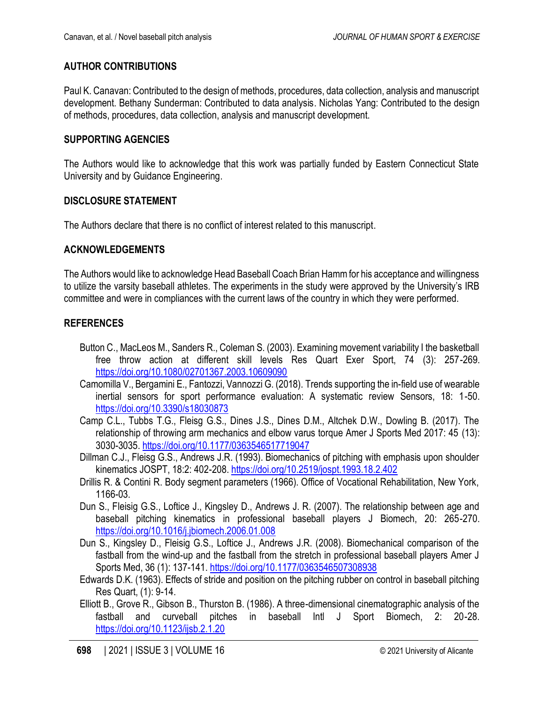# **AUTHOR CONTRIBUTIONS**

Paul K. Canavan: Contributed to the design of methods, procedures, data collection, analysis and manuscript development. Bethany Sunderman: Contributed to data analysis. Nicholas Yang: Contributed to the design of methods, procedures, data collection, analysis and manuscript development.

# **SUPPORTING AGENCIES**

The Authors would like to acknowledge that this work was partially funded by Eastern Connecticut State University and by Guidance Engineering.

#### **DISCLOSURE STATEMENT**

The Authors declare that there is no conflict of interest related to this manuscript.

## **ACKNOWLEDGEMENTS**

The Authors would like to acknowledge Head Baseball Coach Brian Hamm for his acceptance and willingness to utilize the varsity baseball athletes. The experiments in the study were approved by the University's IRB committee and were in compliances with the current laws of the country in which they were performed.

## **REFERENCES**

- Button C., MacLeos M., Sanders R., Coleman S. (2003). Examining movement variability I the basketball free throw action at different skill levels Res Quart Exer Sport, 74 (3): 257-269. <https://doi.org/10.1080/02701367.2003.10609090>
- Camomilla V., Bergamini E., Fantozzi, Vannozzi G. (2018). Trends supporting the in-field use of wearable inertial sensors for sport performance evaluation: A systematic review Sensors, 18: 1-50. <https://doi.org/10.3390/s18030873>
- Camp C.L., Tubbs T.G., Fleisg G.S., Dines J.S., Dines D.M., Altchek D.W., Dowling B. (2017). The relationship of throwing arm mechanics and elbow varus torque Amer J Sports Med 2017: 45 (13): 3030-3035.<https://doi.org/10.1177/0363546517719047>
- Dillman C.J., Fleisg G.S., Andrews J.R. (1993). Biomechanics of pitching with emphasis upon shoulder kinematics JOSPT, 18:2: 402-208.<https://doi.org/10.2519/jospt.1993.18.2.402>
- Drillis R. & Contini R. Body segment parameters (1966). Office of Vocational Rehabilitation, New York, 1166-03.
- Dun S., Fleisig G.S., Loftice J., Kingsley D., Andrews J. R. (2007). The relationship between age and baseball pitching kinematics in professional baseball players J Biomech, 20: 265-270. <https://doi.org/10.1016/j.jbiomech.2006.01.008>
- Dun S., Kingsley D., Fleisig G.S., Loftice J., Andrews J.R. (2008). Biomechanical comparison of the fastball from the wind-up and the fastball from the stretch in professional baseball players Amer J Sports Med, 36 (1): 137-141.<https://doi.org/10.1177/0363546507308938>
- Edwards D.K. (1963). Effects of stride and position on the pitching rubber on control in baseball pitching Res Quart, (1): 9-14.
- Elliott B., Grove R., Gibson B., Thurston B. (1986). A three-dimensional cinematographic analysis of the fastball and curveball pitches in baseball Intl J Sport Biomech, 2: 20-28. <https://doi.org/10.1123/ijsb.2.1.20>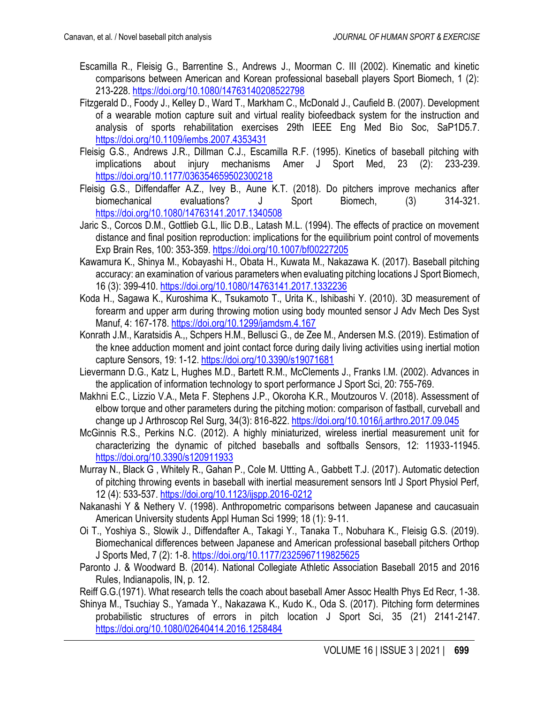- Escamilla R., Fleisig G., Barrentine S., Andrews J., Moorman C. III (2002). Kinematic and kinetic comparisons between American and Korean professional baseball players Sport Biomech, 1 (2): 213-228.<https://doi.org/10.1080/14763140208522798>
- Fitzgerald D., Foody J., Kelley D., Ward T., Markham C., McDonald J., Caufield B. (2007). Development of a wearable motion capture suit and virtual reality biofeedback system for the instruction and analysis of sports rehabilitation exercises 29th IEEE Eng Med Bio Soc, SaP1D5.7. <https://doi.org/10.1109/iembs.2007.4353431>
- Fleisig G.S., Andrews J.R., Dillman C.J., Escamilla R.F. (1995). Kinetics of baseball pitching with implications about injury mechanisms Amer J Sport Med, 23 (2): 233-239. <https://doi.org/10.1177/036354659502300218>
- Fleisig G.S., Diffendaffer A.Z., Ivey B., Aune K.T. (2018). Do pitchers improve mechanics after biomechanical evaluations? J Sport Biomech, (3) 314-321. <https://doi.org/10.1080/14763141.2017.1340508>
- Jaric S., Corcos D.M., Gottlieb G.L, Ilic D.B., Latash M.L. (1994). The effects of practice on movement distance and final position reproduction: implications for the equilibrium point control of movements Exp Brain Res, 100: 353-359[. https://doi.org/10.1007/bf00227205](https://doi.org/10.1007/bf00227205)
- Kawamura K., Shinya M., Kobayashi H., Obata H., Kuwata M., Nakazawa K. (2017). Baseball pitching accuracy: an examination of various parameters when evaluating pitching locations J Sport Biomech, 16 (3): 399-410[. https://doi.org/10.1080/14763141.2017.1332236](https://doi.org/10.1080/14763141.2017.1332236)
- Koda H., Sagawa K., Kuroshima K., Tsukamoto T., Urita K., Ishibashi Y. (2010). 3D measurement of forearm and upper arm during throwing motion using body mounted sensor J Adv Mech Des Syst Manuf, 4: 167-178.<https://doi.org/10.1299/jamdsm.4.167>
- Konrath J.M., Karatsidis A.,, Schpers H.M., Bellusci G., de Zee M., Andersen M.S. (2019). Estimation of the knee adduction moment and joint contact force during daily living activities using inertial motion capture Sensors, 19: 1-12[. https://doi.org/10.3390/s19071681](https://doi.org/10.3390/s19071681)
- Lievermann D.G., Katz L, Hughes M.D., Bartett R.M., McClements J., Franks I.M. (2002). Advances in the application of information technology to sport performance J Sport Sci, 20: 755-769.
- Makhni E.C., Lizzio V.A., Meta F. Stephens J.P., Okoroha K.R., Moutzouros V. (2018). Assessment of elbow torque and other parameters during the pitching motion: comparison of fastball, curveball and change up J Arthroscop Rel Surg, 34(3): 816-822.<https://doi.org/10.1016/j.arthro.2017.09.045>
- McGinnis R.S., Perkins N.C. (2012). A highly miniaturized, wireless inertial measurement unit for characterizing the dynamic of pitched baseballs and softballs Sensors, 12: 11933-11945. <https://doi.org/10.3390/s120911933>
- Murray N., Black G , Whitely R., Gahan P., Cole M. Uttting A., Gabbett T.J. (2017). Automatic detection of pitching throwing events in baseball with inertial measurement sensors Intl J Sport Physiol Perf, 12 (4): 533-537[. https://doi.org/10.1123/ijspp.2016-0212](https://doi.org/10.1123/ijspp.2016-0212)
- Nakanashi Y & Nethery V. (1998). Anthropometric comparisons between Japanese and caucasuain American University students Appl Human Sci 1999; 18 (1): 9-11.
- Oi T., Yoshiya S., Slowik J., Diffendafter A., Takagi Y., Tanaka T., Nobuhara K., Fleisig G.S. (2019). Biomechanical differences between Japanese and American professional baseball pitchers Orthop J Sports Med, 7 (2): 1-8[. https://doi.org/10.1177/2325967119825625](https://doi.org/10.1177/2325967119825625)
- Paronto J. & Woodward B. (2014). National Collegiate Athletic Association Baseball 2015 and 2016 Rules, Indianapolis, IN, p. 12.

Reiff G.G.(1971). What research tells the coach about baseball Amer Assoc Health Phys Ed Recr, 1-38.

Shinya M., Tsuchiay S., Yamada Y., Nakazawa K., Kudo K., Oda S. (2017). Pitching form determines probabilistic structures of errors in pitch location J Sport Sci, 35 (21) 2141-2147. <https://doi.org/10.1080/02640414.2016.1258484>